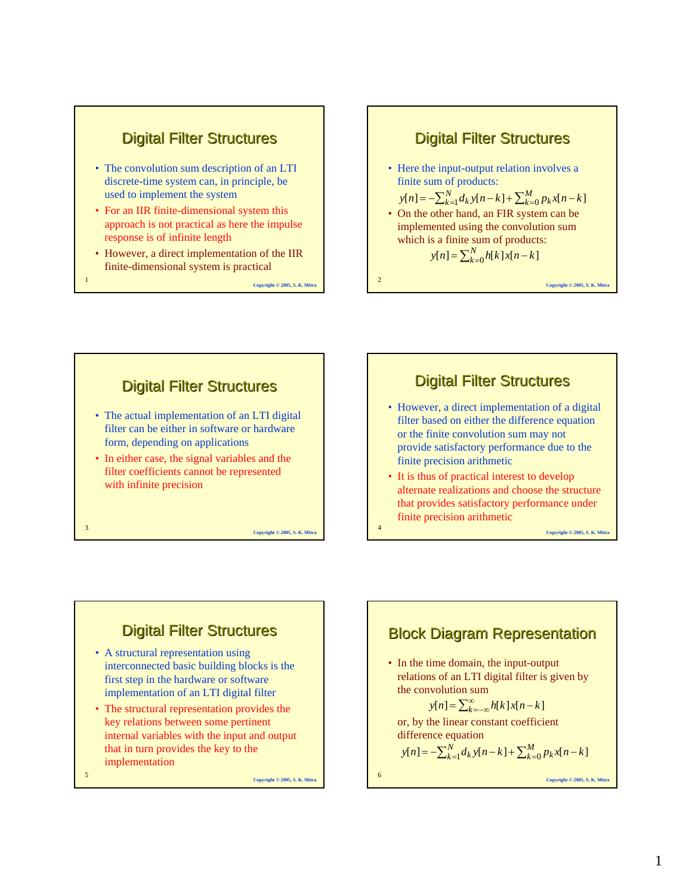

- The convolution sum description of an LTI discrete-time system can, in principle, be used to implement the system
- For an IIR finite-dimensional system this approach is not practical as here the impulse response is of infinite length
- However, a direct implementation of the IIR finite-dimensional system is practical

<sup>1</sup> **Copyright © 2005, S. K. Mitra**





### **Digital Filter Structures**

- However, a direct implementation of a digital filter based on either the difference equation or the finite convolution sum may not provide satisfactory performance due to the finite precision arithmetic
- It is thus of practical interest to develop alternate realizations and choose the structure that provides satisfactory performance under finite precision arithmetic

<sup>4</sup> **Copyright © 2005, S. K. Mitra**

<sup>6</sup> **Copyright © 2005, S. K. Mitra**

### **Digital Filter Structures**

- A structural representation using interconnected basic building blocks is the first step in the hardware or software implementation of an LTI digital filter
- The structural representation provides the key relations between some pertinent internal variables with the input and output that in turn provides the key to the implementation

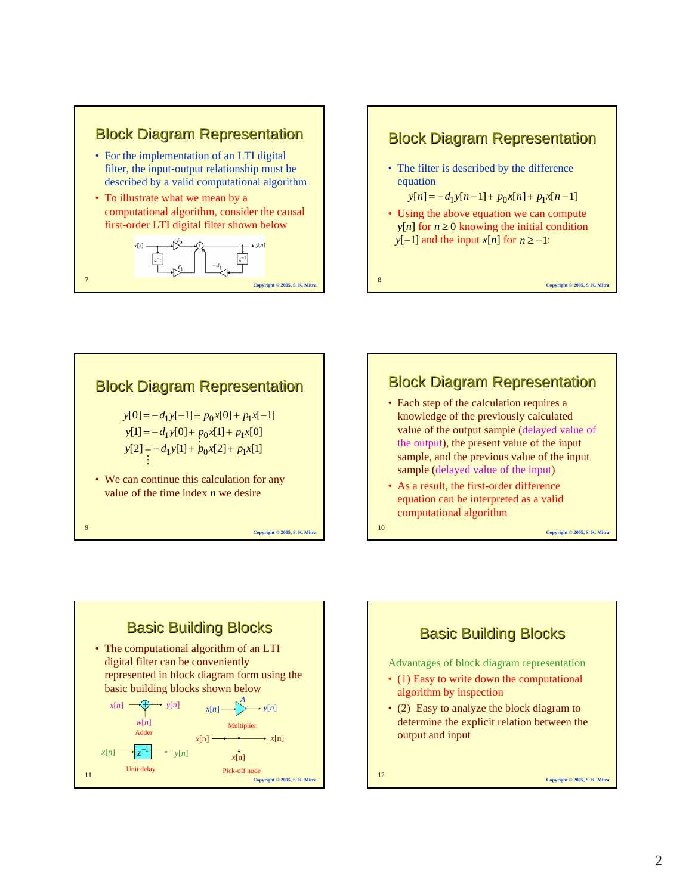

### **Block Diagram Representation**

• The filter is described by the difference equation

 $y[n] = -d_1y[n-1] + p_0x[n] + p_1x[n-1]$ 

• Using the above equation we can compute *y*[*n*] for  $n \ge 0$  knowing the initial condition *y*[−1] and the input *x*[*n*] for  $n \ge -1$ :

<sup>8</sup> **Copyright © 2005, S. K. Mitra**





• Each step of the calculation requires a knowledge of the previously calculated value of the output sample (delayed value of the output), the present value of the input sample, and the previous value of the input sample (delayed value of the input)

<sup>10</sup> **Copyright © 2005, S. K. Mitra**

• As a result, the first-order difference equation can be interpreted as a valid computational algorithm

<sup>11</sup> **Copyright © 2005, S. K. Mitra Basic Building Blocks** • The computational algorithm of an LTI digital filter can be conveniently represented in block diagram form using the basic building blocks shown below  $\rightarrow$   $\rightarrow$   $y[n]$ *w*[*n*]  $\bigoplus$  *y*[*n*]  $\qquad$  *x*[*n*]  $\qquad$  *A*  $x[n] \longrightarrow z^{-1} \longrightarrow y[n]$  $x[n] \longrightarrow x[n]$  $x[n]$ Adder Unit delay Multiplier

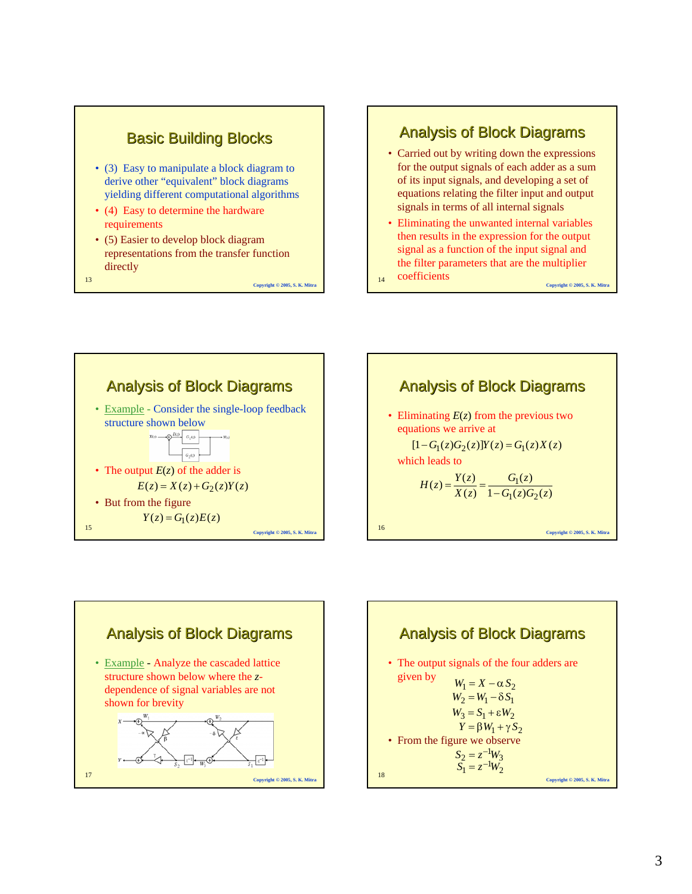

- (3) Easy to manipulate a block diagram to derive other "equivalent" block diagrams yielding different computational algorithms
- (4) Easy to determine the hardware requirements
- (5) Easier to develop block diagram representations from the transfer function directly

<sup>13</sup> **Copyright © 2005, S. K. Mitra**

**Analysis of Block Diagrams** 

- Carried out by writing down the expressions for the output signals of each adder as a sum of its input signals, and developing a set of equations relating the filter input and output signals in terms of all internal signals
- Eliminating the unwanted internal variables then results in the expression for the output signal as a function of the input signal and the filter parameters that are the multiplier

14 **COCITICIENTS** Copyright © 2005, S. K. Mitr coefficients







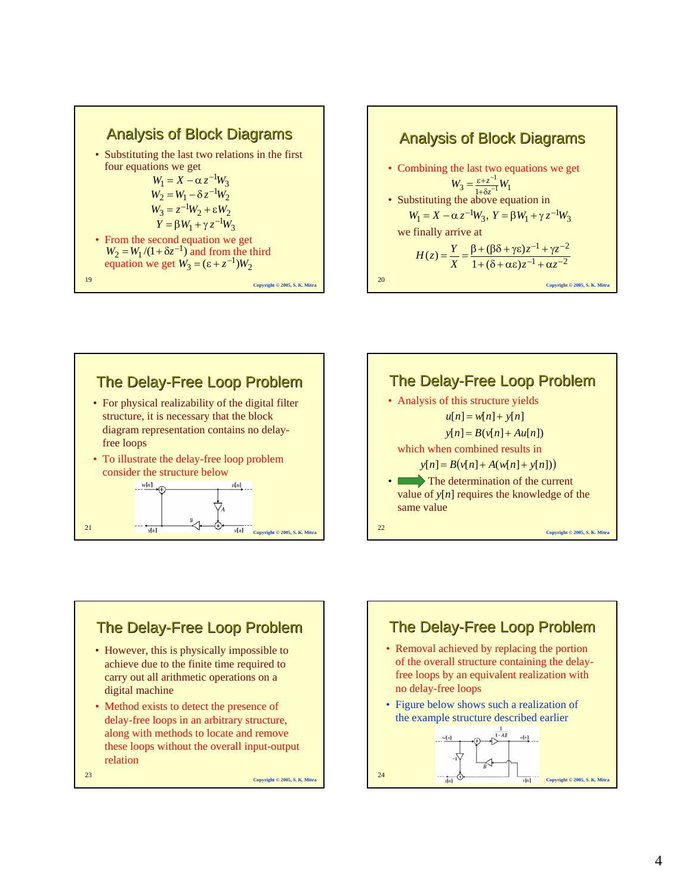







# **The Delay-Free Loop Problem**

- However, this is physically impossible to achieve due to the finite time required to carry out all arithmetic operations on a digital machine
- Method exists to detect the presence of delay-free loops in an arbitrary structure, along with methods to locate and remove these loops without the overall input-output relation

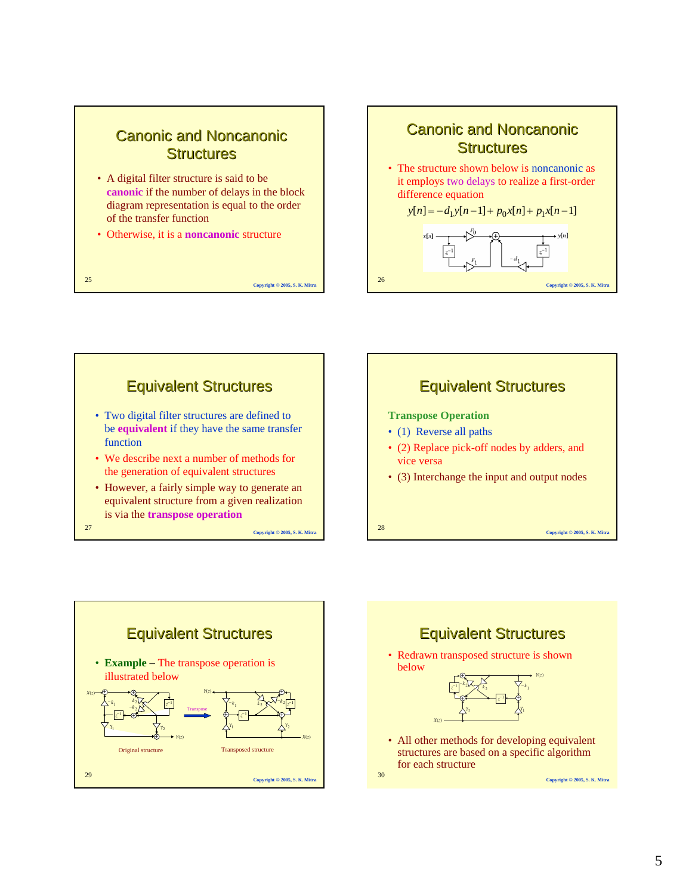## **Canonic and Noncanonic Structures**

- A digital filter structure is said to be **canonic** if the number of delays in the block diagram representation is equal to the order of the transfer function
- Otherwise, it is a **noncanonic** structure









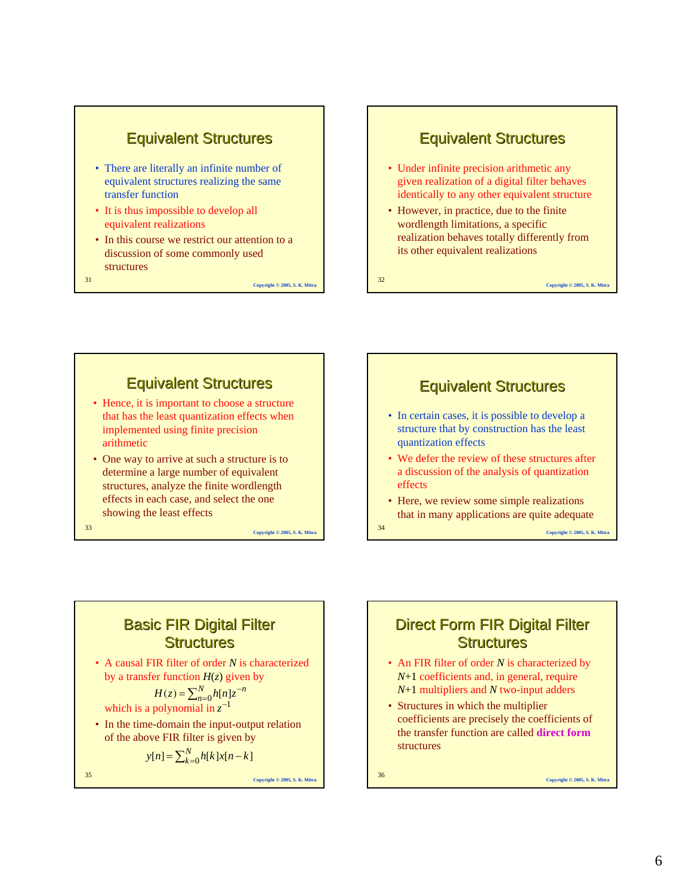

- There are literally an infinite number of equivalent structures realizing the same transfer function
- It is thus impossible to develop all equivalent realizations
- In this course we restrict our attention to a discussion of some commonly used structures
- <sup>31</sup> **Copyright © 2005, S. K. Mitra**

**Equivalent Structures** 

- Under infinite precision arithmetic any given realization of a digital filter behaves identically to any other equivalent structure
- However, in practice, due to the finite wordlength limitations, a specific realization behaves totally differently from its other equivalent realizations

### <sup>32</sup> **Copyright © 2005, S. K. Mitra**

# Equivalent Structures Equivalent Structures

- Hence, it is important to choose a structure that has the least quantization effects when implemented using finite precision arithmetic
- One way to arrive at such a structure is to determine a large number of equivalent structures, analyze the finite wordlength effects in each case, and select the one showing the least effects

<sup>33</sup> **Copyright © 2005, S. K. Mitra**



- In certain cases, it is possible to develop a structure that by construction has the least quantization effects
- We defer the review of these structures after a discussion of the analysis of quantization effects
- Here, we review some simple realizations that in many applications are quite adequate

<sup>34</sup> **Copyright © 2005, S. K. Mitra**

## **Basic FIR Digital Filter Structures**

• A causal FIR filter of order *N* is characterized by a transfer function  $H(z)$  given by

$$
H(z) = \sum_{n=0}^{N} h[n]z^{-n}
$$

which is a polynomial in  $z^{-1}$ 

• In the time-domain the input-output relation of the above FIR filter is given by

$$
y[n] = \sum_{k=0}^{N} h[k]x[n-k]
$$

<sup>35</sup> **Copyright © 2005, S. K. Mitra**

## Direct Form FIR Digital Filter **Structures**

- An FIR filter of order *N* is characterized by *N*+1 coefficients and, in general, require *N*+1 multipliers and *N* two-input adders
- Structures in which the multiplier coefficients are precisely the coefficients of the transfer function are called **direct form** structures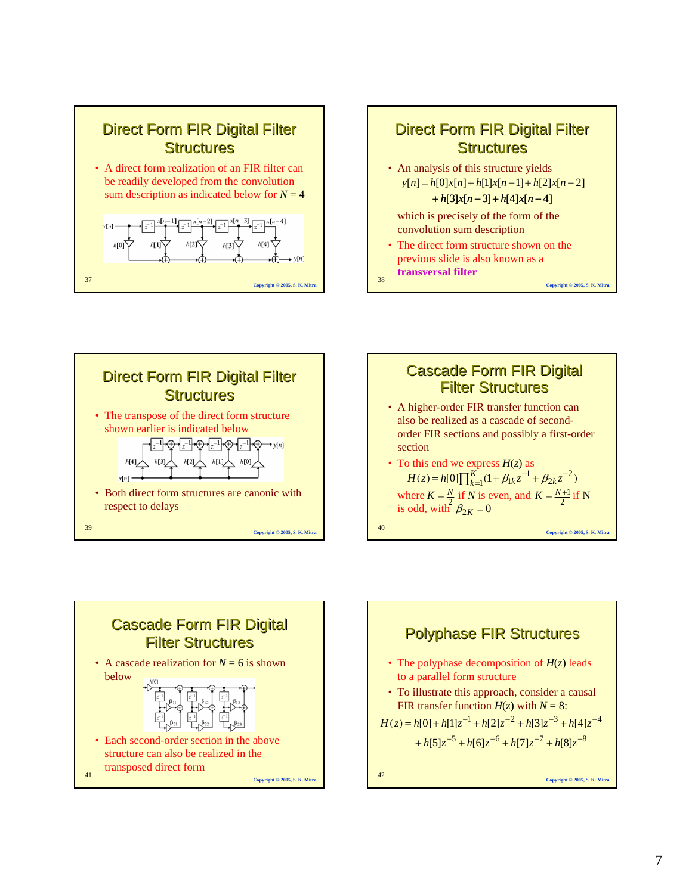









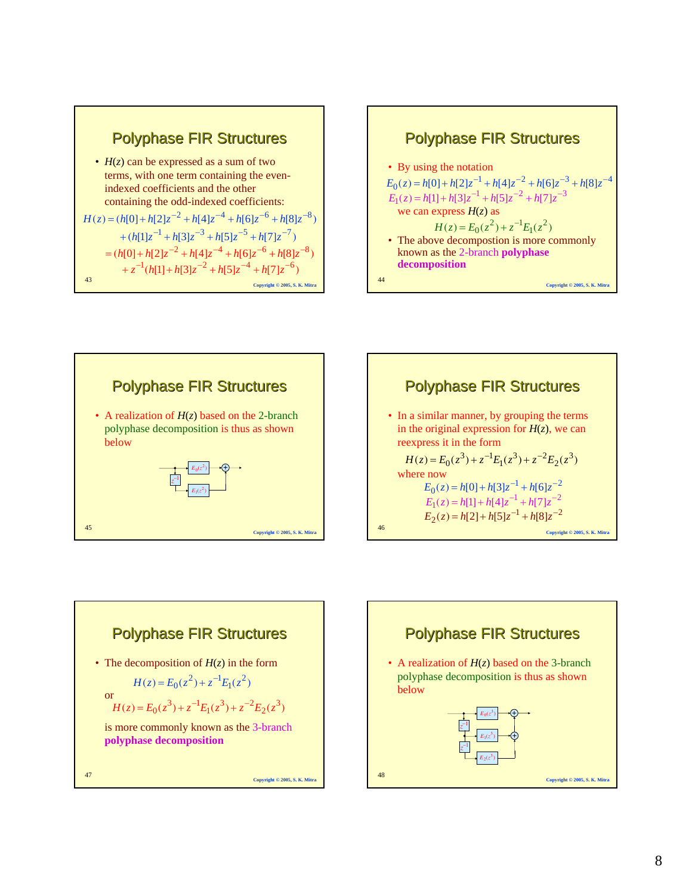









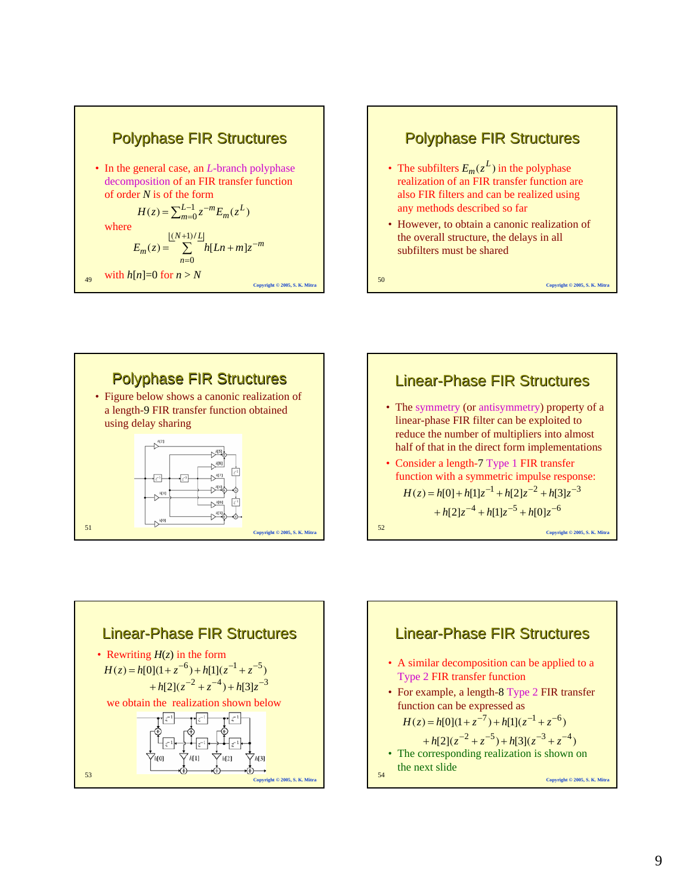